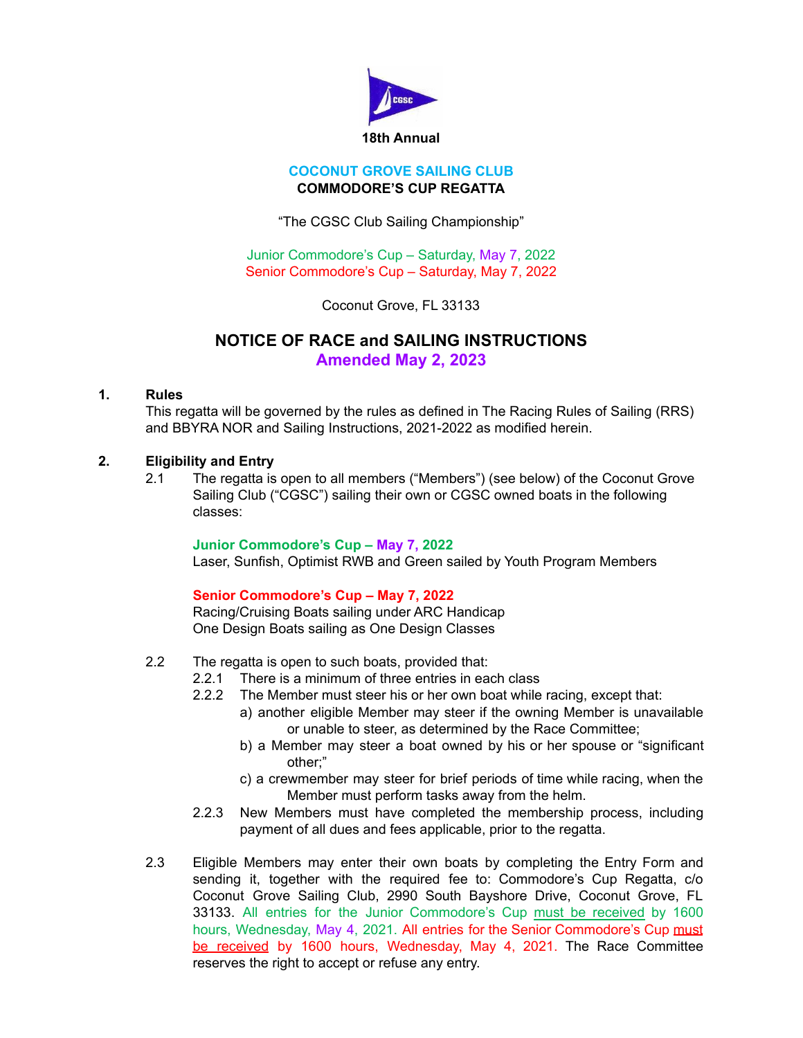

### **COCONUT GROVE SAILING CLUB COMMODORE'S CUP REGATTA**

"The CGSC Club Sailing Championship"

Junior Commodore's Cup – Saturday, May 7, 2022 Senior Commodore's Cup – Saturday, May 7, 2022

Coconut Grove, FL 33133

# **NOTICE OF RACE and SAILING INSTRUCTIONS Amended May 2, 2023**

### **1. Rules**

This regatta will be governed by the rules as defined in The Racing Rules of Sailing (RRS) and BBYRA NOR and Sailing Instructions, 2021-2022 as modified herein.

## **2. Eligibility and Entry**

2.1 The regatta is open to all members ("Members") (see below) of the Coconut Grove Sailing Club ("CGSC") sailing their own or CGSC owned boats in the following classes:

## **Junior Commodore's Cup – May 7, 2022**

Laser, Sunfish, Optimist RWB and Green sailed by Youth Program Members

### **Senior Commodore's Cup – May 7, 2022**

Racing/Cruising Boats sailing under ARC Handicap One Design Boats sailing as One Design Classes

- 2.2 The regatta is open to such boats, provided that:
	- 2.2.1 There is a minimum of three entries in each class
	- 2.2.2 The Member must steer his or her own boat while racing, except that:
		- a) another eligible Member may steer if the owning Member is unavailable or unable to steer, as determined by the Race Committee;
		- b) a Member may steer a boat owned by his or her spouse or "significant other;"
		- c) a crewmember may steer for brief periods of time while racing, when the Member must perform tasks away from the helm.
	- 2.2.3 New Members must have completed the membership process, including payment of all dues and fees applicable, prior to the regatta.
- 2.3 Eligible Members may enter their own boats by completing the Entry Form and sending it, together with the required fee to: Commodore's Cup Regatta, c/o Coconut Grove Sailing Club, 2990 South Bayshore Drive, Coconut Grove, FL 33133. All entries for the Junior Commodore's Cup must be received by 1600 hours, Wednesday, May 4, 2021. All entries for the Senior Commodore's Cup must be received by 1600 hours, Wednesday, May 4, 2021. The Race Committee reserves the right to accept or refuse any entry.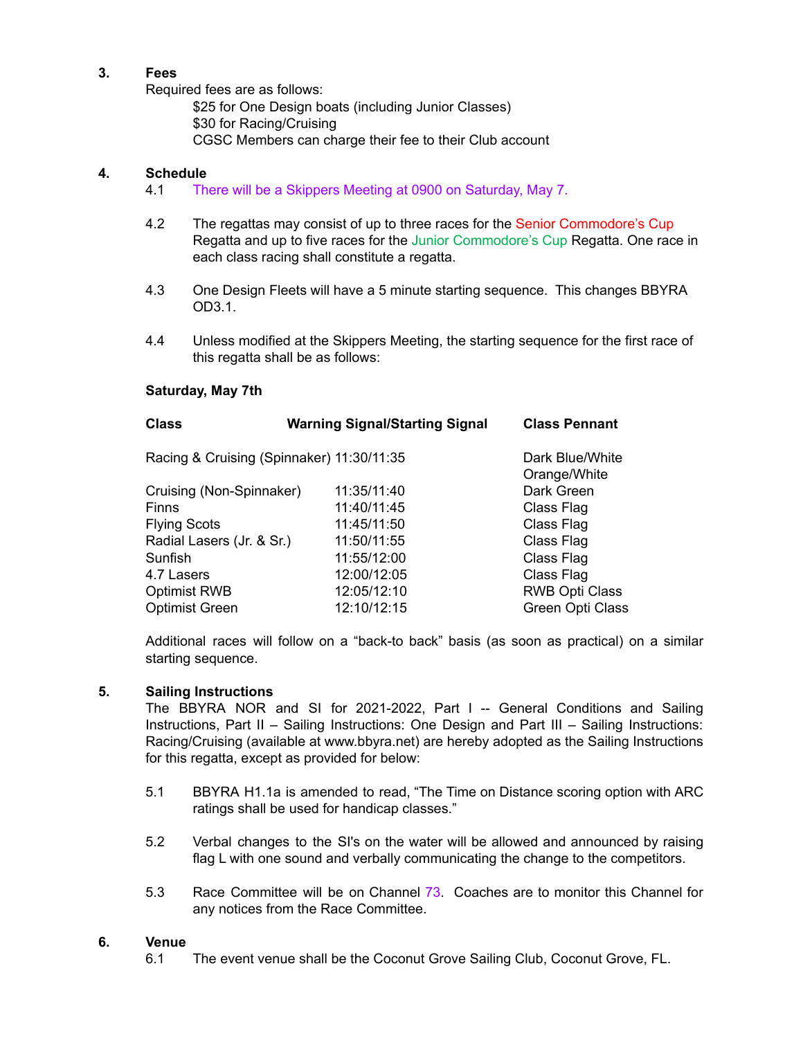## **3. Fees**

Required fees are as follows:

\$25 for One Design boats (including Junior Classes) \$30 for Racing/Cruising CGSC Members can charge their fee to their Club account

## **4. Schedule**

- 4.1 There will be a Skippers Meeting at 0900 on Saturday, May 7.
- 4.2 The regattas may consist of up to three races for the Senior Commodore's Cup Regatta and up to five races for the Junior Commodore's Cup Regatta. One race in each class racing shall constitute a regatta.
- 4.3 One Design Fleets will have a 5 minute starting sequence. This changes BBYRA OD3.1.
- 4.4 Unless modified at the Skippers Meeting, the starting sequence for the first race of this regatta shall be as follows:

### **Saturday, May 7th**

| <b>Class</b>                              | <b>Warning Signal/Starting Signal</b> | <b>Class Pennant</b>            |
|-------------------------------------------|---------------------------------------|---------------------------------|
| Racing & Cruising (Spinnaker) 11:30/11:35 |                                       | Dark Blue/White<br>Orange/White |
| Cruising (Non-Spinnaker)                  | 11:35/11:40                           | Dark Green                      |
| <b>Finns</b>                              | 11:40/11:45                           | Class Flag                      |
| <b>Flying Scots</b>                       | 11:45/11:50                           | Class Flag                      |
| Radial Lasers (Jr. & Sr.)                 | 11:50/11:55                           | Class Flag                      |
| Sunfish                                   | 11:55/12:00                           | Class Flag                      |
| 4.7 Lasers                                | 12:00/12:05                           | Class Flag                      |
| <b>Optimist RWB</b>                       | 12:05/12:10                           | <b>RWB Opti Class</b>           |
| <b>Optimist Green</b>                     | 12:10/12:15                           | Green Opti Class                |

Additional races will follow on a "back-to back" basis (as soon as practical) on a similar starting sequence.

## **5. Sailing Instructions**

The BBYRA NOR and SI for 2021-2022, Part I -- General Conditions and Sailing Instructions, Part II – Sailing Instructions: One Design and Part III – Sailing Instructions: Racing/Cruising (available at www.bbyra.net) are hereby adopted as the Sailing Instructions for this regatta, except as provided for below:

- 5.1 BBYRA H1.1a is amended to read, "The Time on Distance scoring option with ARC ratings shall be used for handicap classes."
- 5.2 Verbal changes to the SI's on the water will be allowed and announced by raising flag L with one sound and verbally communicating the change to the competitors.
- 5.3 Race Committee will be on Channel 73. Coaches are to monitor this Channel for any notices from the Race Committee.

### **6. Venue**

6.1 The event venue shall be the Coconut Grove Sailing Club, Coconut Grove, FL.